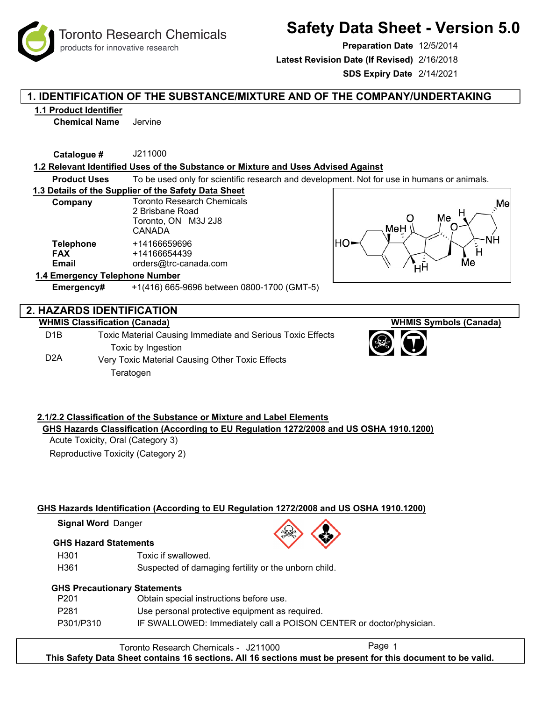# **Safety Data Sheet - Version 5.0**

**Preparation Date** 12/5/2014

**Latest Revision Date (If Revised)** 2/16/2018

**SDS Expiry Date** 2/14/2021

# **1. IDENTIFICATION OF THE SUBSTANCE/MIXTURE AND OF THE COMPANY/UNDERTAKING**

# **1.1 Product Identifier**

**Chemical Name** Jervine

**Catalogue #** J211000

# **1.2 Relevant Identified Uses of the Substance or Mixture and Uses Advised Against**

**Product Uses** To be used only for scientific research and development. Not for use in humans or animals.

## **1.3 Details of the Supplier of the Safety Data Sheet**

| Company                                 | <b>Toronto Research Chemicals</b><br>2 Brisbane Road<br>Toronto, ON M3J 2J8<br>CANADA |  |  |  |
|-----------------------------------------|---------------------------------------------------------------------------------------|--|--|--|
| <b>Telephone</b><br><b>FAX</b><br>Email | +14166659696<br>+14166654439<br>orders@trc-canada.com                                 |  |  |  |
| 1.4 Emergency Telephone Number          |                                                                                       |  |  |  |



# **Emergency#** +1(416) 665-9696 between 0800-1700 (GMT-5)

# **2. HAZARDS IDENTIFICATION**

# **WHMIS Classification (Canada)**

D1B D2A Toxic Material Causing Immediate and Serious Toxic Effects Toxic by Ingestion Very Toxic Material Causing Other Toxic Effects Teratogen

# **2.1/2.2 Classification of the Substance or Mixture and Label Elements GHS Hazards Classification (According to EU Regulation 1272/2008 and US OSHA 1910.1200)**

Acute Toxicity, Oral (Category 3) Reproductive Toxicity (Category 2)

# **GHS Hazards Identification (According to EU Regulation 1272/2008 and US OSHA 1910.1200)**

**Signal Word Danger** 

# **GHS Hazard Statements**

- H301 Toxic if swallowed.
- H361 Suspected of damaging fertility or the unborn child.

# **GHS Precautionary Statements**

| P <sub>201</sub> | Obtain special instructions before use.                             |
|------------------|---------------------------------------------------------------------|
| P281             | Use personal protective equipment as required.                      |
| P301/P310        | IF SWALLOWED: Immediately call a POISON CENTER or doctor/physician. |

Toronto Research Chemicals - J211000 **This Safety Data Sheet contains 16 sections. All 16 sections must be present for this document to be valid.**



**WHMIS Symbols (Canada)**



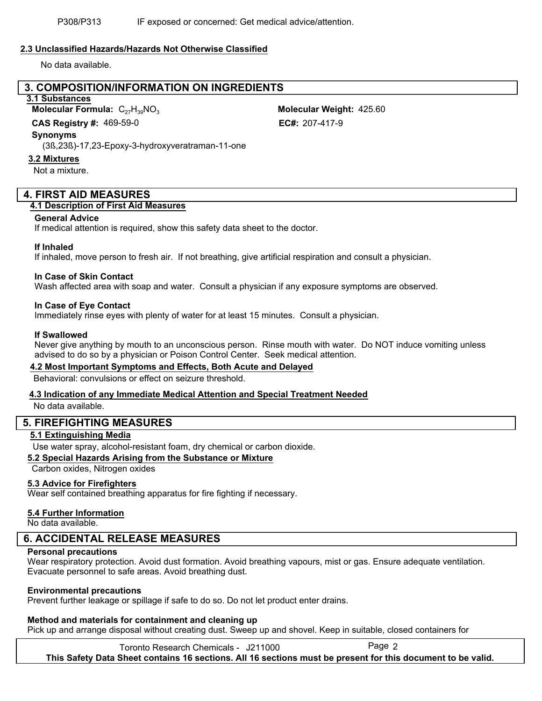## **2.3 Unclassified Hazards/Hazards Not Otherwise Classified**

No data available.

# **3. COMPOSITION/INFORMATION ON INGREDIENTS**

# **3.1 Substances**

**Molecular Formula: C<sub>27</sub>H<sub>30</sub>NO<sub>3</sub>** 

**CAS Registry #: 469-59-0** 

#### **Synonyms**

(3ß,23ß)-17,23-Epoxy-3-hydroxyveratraman-11-one

#### **3.2 Mixtures**

Not a mixture.

# **4. FIRST AID MEASURES**

## **4.1 Description of First Aid Measures**

#### **General Advice**

If medical attention is required, show this safety data sheet to the doctor.

## **If Inhaled**

If inhaled, move person to fresh air. If not breathing, give artificial respiration and consult a physician.

## **In Case of Skin Contact**

Wash affected area with soap and water. Consult a physician if any exposure symptoms are observed.

## **In Case of Eye Contact**

Immediately rinse eyes with plenty of water for at least 15 minutes. Consult a physician.

#### **If Swallowed**

Never give anything by mouth to an unconscious person. Rinse mouth with water. Do NOT induce vomiting unless advised to do so by a physician or Poison Control Center. Seek medical attention.

## **4.2 Most Important Symptoms and Effects, Both Acute and Delayed**

Behavioral: convulsions or effect on seizure threshold.

# **4.3 Indication of any Immediate Medical Attention and Special Treatment Needed**

No data available.

# **5. FIREFIGHTING MEASURES**

## **5.1 Extinguishing Media**

Use water spray, alcohol-resistant foam, dry chemical or carbon dioxide.

# **5.2 Special Hazards Arising from the Substance or Mixture**

Carbon oxides, Nitrogen oxides

## **5.3 Advice for Firefighters**

Wear self contained breathing apparatus for fire fighting if necessary.

## **5.4 Further Information**

No data available.

# **6. ACCIDENTAL RELEASE MEASURES**

## **Personal precautions**

Wear respiratory protection. Avoid dust formation. Avoid breathing vapours, mist or gas. Ensure adequate ventilation. Evacuate personnel to safe areas. Avoid breathing dust.

## **Environmental precautions**

Prevent further leakage or spillage if safe to do so. Do not let product enter drains.

## **Method and materials for containment and cleaning up**

Pick up and arrange disposal without creating dust. Sweep up and shovel. Keep in suitable, closed containers for

Toronto Research Chemicals - J211000 **This Safety Data Sheet contains 16 sections. All 16 sections must be present for this document to be valid.**

Molecular Weight: 425.60 EC#: 207-417-9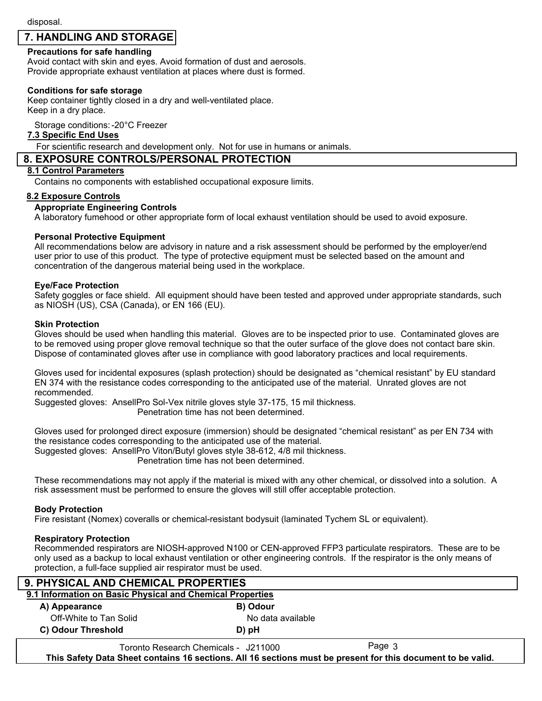# **7. HANDLING AND STORAGE**

# **Precautions for safe handling**

Avoid contact with skin and eyes. Avoid formation of dust and aerosols. Provide appropriate exhaust ventilation at places where dust is formed.

# **Conditions for safe storage**

Keep container tightly closed in a dry and well-ventilated place. Keep in a dry place.

Storage conditions:-20°C Freezer

## **7.3 Specific End Uses**

For scientific research and development only. Not for use in humans or animals.

# **8. EXPOSURE CONTROLS/PERSONAL PROTECTION**

#### **8.1 Control Parameters**

Contains no components with established occupational exposure limits.

#### **8.2 Exposure Controls**

## **Appropriate Engineering Controls**

A laboratory fumehood or other appropriate form of local exhaust ventilation should be used to avoid exposure.

## **Personal Protective Equipment**

All recommendations below are advisory in nature and a risk assessment should be performed by the employer/end user prior to use of this product. The type of protective equipment must be selected based on the amount and concentration of the dangerous material being used in the workplace.

## **Eye/Face Protection**

Safety goggles or face shield. All equipment should have been tested and approved under appropriate standards, such as NIOSH (US), CSA (Canada), or EN 166 (EU).

#### **Skin Protection**

Gloves should be used when handling this material. Gloves are to be inspected prior to use. Contaminated gloves are to be removed using proper glove removal technique so that the outer surface of the glove does not contact bare skin. Dispose of contaminated gloves after use in compliance with good laboratory practices and local requirements.

Gloves used for incidental exposures (splash protection) should be designated as "chemical resistant" by EU standard EN 374 with the resistance codes corresponding to the anticipated use of the material. Unrated gloves are not recommended.

Suggested gloves: AnsellPro Sol-Vex nitrile gloves style 37-175, 15 mil thickness.

Penetration time has not been determined.

Gloves used for prolonged direct exposure (immersion) should be designated "chemical resistant" as per EN 734 with the resistance codes corresponding to the anticipated use of the material.

Suggested gloves: AnsellPro Viton/Butyl gloves style 38-612, 4/8 mil thickness.

Penetration time has not been determined.

These recommendations may not apply if the material is mixed with any other chemical, or dissolved into a solution. A risk assessment must be performed to ensure the gloves will still offer acceptable protection.

## **Body Protection**

Fire resistant (Nomex) coveralls or chemical-resistant bodysuit (laminated Tychem SL or equivalent).

## **Respiratory Protection**

Recommended respirators are NIOSH-approved N100 or CEN-approved FFP3 particulate respirators. These are to be only used as a backup to local exhaust ventilation or other engineering controls. If the respirator is the only means of protection, a full-face supplied air respirator must be used.

| 9. PHYSICAL AND CHEMICAL PROPERTIES                       |                                      |        |  |  |  |  |
|-----------------------------------------------------------|--------------------------------------|--------|--|--|--|--|
| 9.1 Information on Basic Physical and Chemical Properties |                                      |        |  |  |  |  |
| A) Appearance                                             | B) Odour                             |        |  |  |  |  |
| Off-White to Tan Solid                                    | No data available                    |        |  |  |  |  |
| C) Odour Threshold                                        | D) pH                                |        |  |  |  |  |
|                                                           | Toronto Research Chemicals - J211000 | Page 3 |  |  |  |  |

**This Safety Data Sheet contains 16 sections. All 16 sections must be present for this document to be valid.**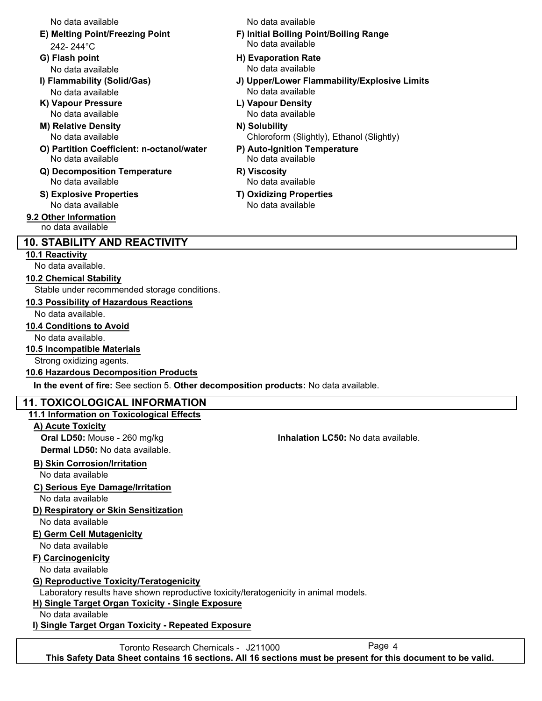No data available No data available

- 242- 244°C
- 
- No data available No data available
- **K) Vapour Pressure L) Vapour Density**
- **M) Relative Density N) Solubility** No data available
- **O) Partition Coefficient: n-octanol/water P) Auto-Ignition Temperature** No data available No data available
- **Q) Decomposition Temperature R) Viscosity** No data available No data available
- **S) Explosive Properties T) Oxidizing Properties** No data available No data available

**9.2 Other Information** no data available

# **10. STABILITY AND REACTIVITY**

# **10.1 Reactivity**

No data available.

# **10.2 Chemical Stability**

Stable under recommended storage conditions.

# **10.3 Possibility of Hazardous Reactions**

No data available.

# **10.4 Conditions to Avoid**

No data available.

**10.5 Incompatible Materials**

# Strong oxidizing agents.

# **10.6 Hazardous Decomposition Products**

**In the event of fire:** See section 5. **Other decomposition products:** No data available.

# **11. TOXICOLOGICAL INFORMATION**

# **11.1 Information on Toxicological Effects**

**A) Acute Toxicity**

**Oral LD50:** Mouse - 260 mg/kg **Inhalation LC50:** No data available. **Dermal LD50:** No data available.

# **B) Skin Corrosion/Irritation**

No data available

# **C) Serious Eye Damage/Irritation**

No data available

# **D) Respiratory or Skin Sensitization**

No data available

# **E) Germ Cell Mutagenicity**

No data available

# **F) Carcinogenicity**

No data available

# **G) Reproductive Toxicity/Teratogenicity**

Laboratory results have shown reproductive toxicity/teratogenicity in animal models.

# **H) Single Target Organ Toxicity - Single Exposure**

No data available

**I) Single Target Organ Toxicity - Repeated Exposure**

Toronto Research Chemicals - J211000 **This Safety Data Sheet contains 16 sections. All 16 sections must be present for this document to be valid.**

- **E) Melting Point/Freezing Point F) Initial Boiling Point/Boiling Range** No data available
- **G) Flash point H) Evaporation Rate** No data available No data available
- **I) Flammability (Solid/Gas) J) Upper/Lower Flammability/Explosive Limits**
	- No data available No data available
		- Chloroform (Slightly), Ethanol (Slightly)
		-
		-
		-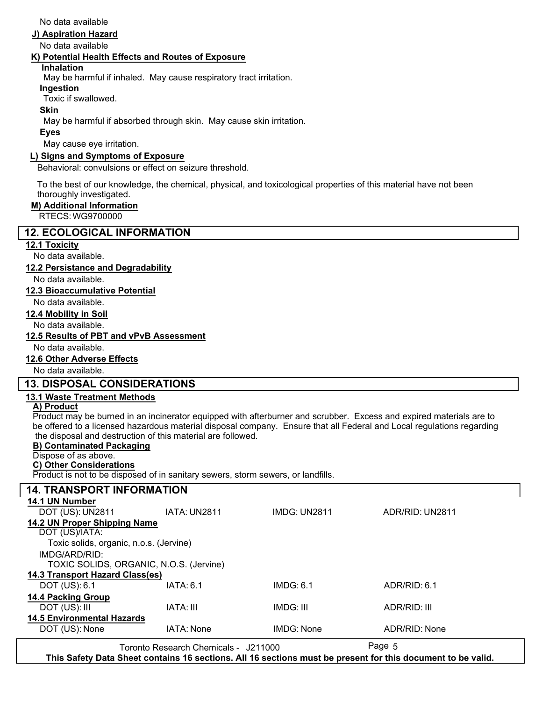No data available

## **J) Aspiration Hazard**

No data available

## **K) Potential Health Effects and Routes of Exposure**

## **Inhalation**

May be harmful if inhaled. May cause respiratory tract irritation.

# **Ingestion**

Toxic if swallowed.

## **Skin**

May be harmful if absorbed through skin. May cause skin irritation.

## **Eyes**

May cause eye irritation.

# **L) Signs and Symptoms of Exposure**

Behavioral: convulsions or effect on seizure threshold.

To the best of our knowledge, the chemical, physical, and toxicological properties of this material have not been thoroughly investigated.

# **M) Additional Information**

RTECS: WG9700000

# **12. ECOLOGICAL INFORMATION**

## **12.1 Toxicity**

No data available.

# **12.2 Persistance and Degradability**

No data available.

## **12.3 Bioaccumulative Potential**

No data available.

## **12.4 Mobility in Soil**

No data available.

# **12.5 Results of PBT and vPvB Assessment**

No data available.

# **12.6 Other Adverse Effects**

No data available.

# **13. DISPOSAL CONSIDERATIONS**

# **13.1 Waste Treatment Methods**

# **A) Product**

Product may be burned in an incinerator equipped with afterburner and scrubber. Excess and expired materials are to be offered to a licensed hazardous material disposal company. Ensure that all Federal and Local regulations regarding the disposal and destruction of this material are followed.

## **B) Contaminated Packaging**

Dispose of as above.

# **C) Other Considerations**

Product is not to be disposed of in sanitary sewers, storm sewers, or landfills.

| <b>14. TRANSPORT INFORMATION</b>                                                                            |                                      |                   |                 |  |  |  |
|-------------------------------------------------------------------------------------------------------------|--------------------------------------|-------------------|-----------------|--|--|--|
| 14.1 UN Number                                                                                              |                                      |                   |                 |  |  |  |
| DOT (US): UN2811                                                                                            | IATA: UN2811                         | IMDG: UN2811      | ADR/RID: UN2811 |  |  |  |
| <b>14.2 UN Proper Shipping Name</b>                                                                         |                                      |                   |                 |  |  |  |
| DOT (US)/IATA:                                                                                              |                                      |                   |                 |  |  |  |
| Toxic solids, organic, n.o.s. (Jervine)                                                                     |                                      |                   |                 |  |  |  |
| IMDG/ARD/RID:                                                                                               |                                      |                   |                 |  |  |  |
| TOXIC SOLIDS, ORGANIC, N.O.S. (Jervine)                                                                     |                                      |                   |                 |  |  |  |
| 14.3 Transport Hazard Class(es)                                                                             |                                      |                   |                 |  |  |  |
| DOT (US): 6.1                                                                                               | IATA: 6.1                            | IMDG: 6.1         | ADR/RID: 6.1    |  |  |  |
| 14.4 Packing Group                                                                                          |                                      |                   |                 |  |  |  |
| DOT (US): III                                                                                               | IATA: III                            | IMDG: III         | ADR/RID: III    |  |  |  |
| <b>14.5 Environmental Hazards</b>                                                                           |                                      |                   |                 |  |  |  |
| DOT (US): None                                                                                              | <b>IATA: None</b>                    | <b>IMDG: None</b> | ADR/RID: None   |  |  |  |
|                                                                                                             | Toronto Research Chemicals - J211000 |                   | Page 5          |  |  |  |
| This Safety Data Sheet contains 16 sections. All 16 sections must be present for this document to be valid. |                                      |                   |                 |  |  |  |